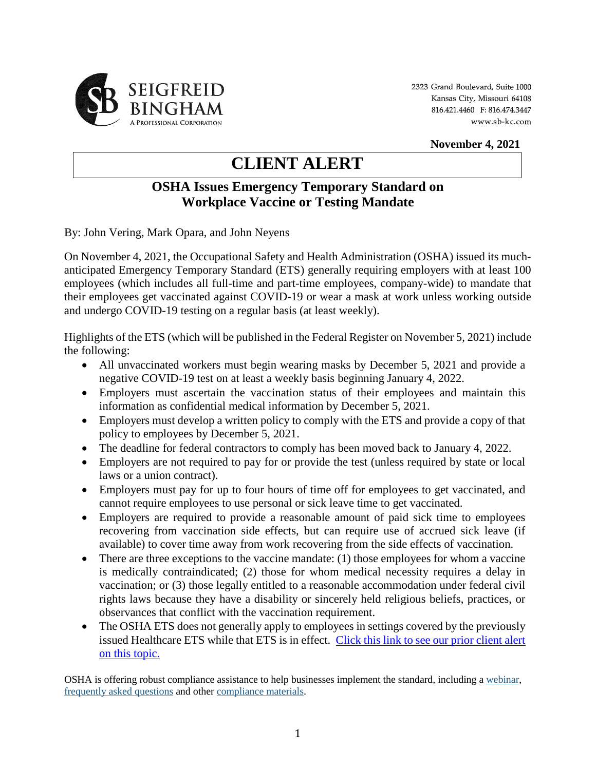

2323 Grand Boulevard, Suite 1000 Kansas City, Missouri 64108 816.421.4460 F: 816.474.3447 www.sb-kc.com

**November 4, 2021**

## **CLIENT ALERT**

## **OSHA Issues Emergency Temporary Standard on Workplace Vaccine or Testing Mandate**

By: John Vering, Mark Opara, and John Neyens

On November 4, 2021, the Occupational Safety and Health Administration (OSHA) issued its muchanticipated Emergency Temporary Standard (ETS) generally requiring employers with at least 100 employees (which includes all full-time and part-time employees, company-wide) to mandate that their employees get vaccinated against COVID-19 or wear a mask at work unless working outside and undergo COVID-19 testing on a regular basis (at least weekly).

Highlights of the ETS (which will be published in the Federal Register on November 5, 2021) include the following:

- All unvaccinated workers must begin wearing masks by December 5, 2021 and provide a negative COVID-19 test on at least a weekly basis beginning January 4, 2022.
- Employers must ascertain the vaccination status of their employees and maintain this information as confidential medical information by December 5, 2021.
- Employers must develop a written policy to comply with the ETS and provide a copy of that policy to employees by December 5, 2021.
- The deadline for federal contractors to comply has been moved back to January 4, 2022.
- Employers are not required to pay for or provide the test (unless required by state or local laws or a union contract).
- Employers must pay for up to four hours of time off for employees to get vaccinated, and cannot require employees to use personal or sick leave time to get vaccinated.
- Employers are required to provide a reasonable amount of paid sick time to employees recovering from vaccination side effects, but can require use of accrued sick leave (if available) to cover time away from work recovering from the side effects of vaccination.
- There are three exceptions to the vaccine mandate: (1) those employees for whom a vaccine is medically contraindicated; (2) those for whom medical necessity requires a delay in vaccination; or (3) those legally entitled to a reasonable accommodation under federal civil rights laws because they have a disability or sincerely held religious beliefs, practices, or observances that conflict with the vaccination requirement.
- The OSHA ETS does not generally apply to employees in settings covered by the previously issued Healthcare ETS while that ETS is in effect. Click this link to see our prior client alert [on this topic.](http://www.sb-kc.com/news/2021/06/osha-issues-covid-19-healthcare-emergency-temporary-standards-and-updates-voluntary-guidance-for-other-industries/)

OSHA is offering robust compliance assistance to help businesses implement the standard, including [a webinar,](https://protect-us.mimecast.com/s/Od_wC9r22ntkn1kSV7Z01?domain=lnks.gd) [frequently asked questions](https://protect-us.mimecast.com/s/ViOuC0R994UGv8Gi8Kvb-?domain=lnks.gd) and othe[r compliance materials.](https://protect-us.mimecast.com/s/4knNCgJkkvUA6kAi5a7-q?domain=lnks.gd)